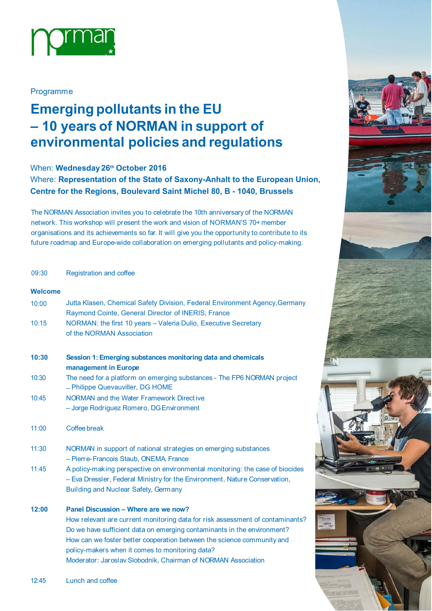

### Programme

# **Emerging pollutants in the EU – 10 years of NORMAN in support of environmental policies and regulations**

## When: **Wednesday 26th October 2016**

Where: **Representation of the State of Saxony-Anhalt to the European Union, Centre for the Regions, Boulevard Saint Michel 80, B - 1040, Brussels**

The NORMAN Association invites you to celebrate the 10th anniversary of the NORMAN network. This workshop will present the work and vision of NORMAN'S 70+ member organisations and its achievements so far. It will give you the opportunity to contribute to its future roadmap and Europe-wide collaboration on emerging pollutants and policy-making.

#### 09:30 Registration and coffee

#### **Welcome**

| 10:00 | Jutta Klasen, Chemical Safety Division, Federal Environment Agency, Germany<br>Raymond Cointe, General Director of INERIS, France                                                                                                                                                     |      |
|-------|---------------------------------------------------------------------------------------------------------------------------------------------------------------------------------------------------------------------------------------------------------------------------------------|------|
| 10:15 | NORMAN: the first 10 years - Valeria Dulio, Executive Secretary<br>of the NORMAN Association                                                                                                                                                                                          |      |
| 10:30 | Session 1: Emerging substances monitoring data and chemicals<br>management in Europe                                                                                                                                                                                                  |      |
| 10:30 | The need for a platform on emerging substances - The FP6 NORMAN project<br>- Philippe Quevauviller, DG HOME                                                                                                                                                                           |      |
| 10:45 | NORMAN and the Water Framework Directive<br>- Jorge Rodriguez Romero, DG Environment                                                                                                                                                                                                  |      |
| 11:00 | Coffee break                                                                                                                                                                                                                                                                          |      |
| 11:30 | NORMAN in support of national strategies on emerging substances<br>- Pierre-Francois Staub, ONEMA, France                                                                                                                                                                             |      |
| 11:45 | A policy-making perspective on environmental monitoring: the case of biocides<br>- Eva Dressler, Federal Ministry for the Environment, Nature Conservation,<br>Building and Nuclear Safety, Germany                                                                                   |      |
| 12:00 | Panel Discussion - Where are we now?                                                                                                                                                                                                                                                  |      |
|       | How relevant are current monitoring data for risk assessment of contaminants?<br>Do we have sufficient data on emerging contaminants in the environment?<br>How can we foster better cooperation between the science community and<br>policy-makers when it comes to monitoring data? | FRAN |
|       | Moderator: Jaroslav Slobodnik, Chairman of NORMAN Association                                                                                                                                                                                                                         |      |